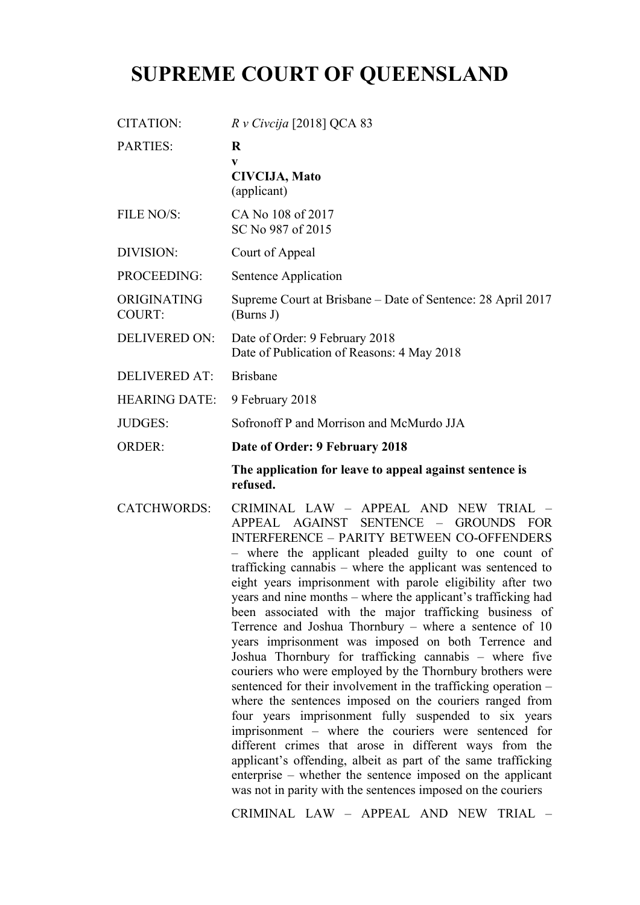## **SUPREME COURT OF QUEENSLAND**

| <b>CITATION:</b>             | $R$ v Civcija [2018] QCA 83                                                                                                                                                                                                                                                                                                                                                                                                                                                                                                                                                                                                                                                                                                                                                                                                                                                                                                                                   |
|------------------------------|---------------------------------------------------------------------------------------------------------------------------------------------------------------------------------------------------------------------------------------------------------------------------------------------------------------------------------------------------------------------------------------------------------------------------------------------------------------------------------------------------------------------------------------------------------------------------------------------------------------------------------------------------------------------------------------------------------------------------------------------------------------------------------------------------------------------------------------------------------------------------------------------------------------------------------------------------------------|
| <b>PARTIES:</b>              | $\bf R$<br>V<br><b>CIVCIJA, Mato</b><br>(applicant)                                                                                                                                                                                                                                                                                                                                                                                                                                                                                                                                                                                                                                                                                                                                                                                                                                                                                                           |
| <b>FILE NO/S:</b>            | CA No 108 of 2017<br>SC No 987 of 2015                                                                                                                                                                                                                                                                                                                                                                                                                                                                                                                                                                                                                                                                                                                                                                                                                                                                                                                        |
| <b>DIVISION:</b>             | Court of Appeal                                                                                                                                                                                                                                                                                                                                                                                                                                                                                                                                                                                                                                                                                                                                                                                                                                                                                                                                               |
| <b>PROCEEDING:</b>           | Sentence Application                                                                                                                                                                                                                                                                                                                                                                                                                                                                                                                                                                                                                                                                                                                                                                                                                                                                                                                                          |
| ORIGINATING<br><b>COURT:</b> | Supreme Court at Brisbane – Date of Sentence: 28 April 2017<br>(Burns J)                                                                                                                                                                                                                                                                                                                                                                                                                                                                                                                                                                                                                                                                                                                                                                                                                                                                                      |
| <b>DELIVERED ON:</b>         | Date of Order: 9 February 2018<br>Date of Publication of Reasons: 4 May 2018                                                                                                                                                                                                                                                                                                                                                                                                                                                                                                                                                                                                                                                                                                                                                                                                                                                                                  |
| <b>DELIVERED AT:</b>         | <b>Brisbane</b>                                                                                                                                                                                                                                                                                                                                                                                                                                                                                                                                                                                                                                                                                                                                                                                                                                                                                                                                               |
| <b>HEARING DATE:</b>         | 9 February 2018                                                                                                                                                                                                                                                                                                                                                                                                                                                                                                                                                                                                                                                                                                                                                                                                                                                                                                                                               |
| JUDGES:                      | Sofronoff P and Morrison and McMurdo JJA                                                                                                                                                                                                                                                                                                                                                                                                                                                                                                                                                                                                                                                                                                                                                                                                                                                                                                                      |
| <b>ORDER:</b>                | Date of Order: 9 February 2018                                                                                                                                                                                                                                                                                                                                                                                                                                                                                                                                                                                                                                                                                                                                                                                                                                                                                                                                |
|                              | The application for leave to appeal against sentence is<br>refused.                                                                                                                                                                                                                                                                                                                                                                                                                                                                                                                                                                                                                                                                                                                                                                                                                                                                                           |
| CATCHWORDS:                  | CRIMINAL LAW - APPEAL AND NEW TRIAL<br>APPEAL AGAINST<br>SENTENCE -<br><b>GROUNDS</b><br><b>FOR</b><br><b>INTERFERENCE - PARITY BETWEEN CO-OFFENDERS</b><br>- where the applicant pleaded guilty to one count of<br>trafficking cannabis – where the applicant was sentenced to<br>eight years imprisonment with parole eligibility after two<br>years and nine months - where the applicant's trafficking had<br>been associated with the major trafficking business of<br>Terrence and Joshua Thornbury - where a sentence of 10<br>years imprisonment was imposed on both Terrence and<br>Joshua Thornbury for trafficking cannabis - where five<br>couriers who were employed by the Thornbury brothers were<br>sentenced for their involvement in the trafficking operation -<br>where the sentences imposed on the couriers ranged from<br>four years imprisonment fully suspended to six years<br>imprisonment – where the couriers were sentenced for |

CRIMINAL LAW – APPEAL AND NEW TRIAL –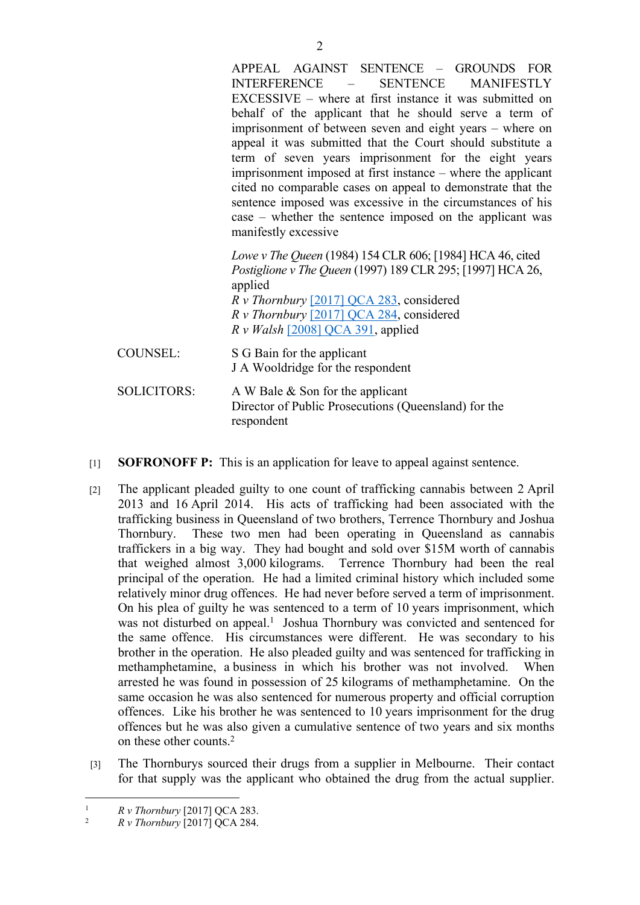APPEAL AGAINST SENTENCE – GROUNDS FOR INTERFERENCE – SENTENCE MANIFESTLY EXCESSIVE – where at first instance it was submitted on behalf of the applicant that he should serve a term of imprisonment of between seven and eight years – where on appeal it was submitted that the Court should substitute a term of seven years imprisonment for the eight years imprisonment imposed at first instance – where the applicant cited no comparable cases on appeal to demonstrate that the sentence imposed was excessive in the circumstances of his case – whether the sentence imposed on the applicant was manifestly excessive *Lowe v The Queen* (1984) 154 CLR 606; [1984] HCA 46, cited *Postiglione v The Queen* (1997) 189 CLR 295; [1997] HCA 26, applied *R v Thornbury* [2017] QCA 283, considered

*R v Thornbury* [2017] QCA 284, considered *R v Walsh* [2008] QCA 391, applied

COUNSEL: S G Bain for the applicant J A Wooldridge for the respondent

- SOLICITORS: A W Bale & Son for the applicant Director of Public Prosecutions (Queensland) for the respondent
- [1] **SOFRONOFF P:** This is an application for leave to appeal against sentence.
- [2] The applicant pleaded guilty to one count of trafficking cannabis between 2 April 2013 and 16 April 2014. His acts of trafficking had been associated with the trafficking business in Queensland of two brothers, Terrence Thornbury and Joshua Thornbury. These two men had been operating in Queensland as cannabis traffickers in a big way. They had bought and sold over \$15M worth of cannabis that weighed almost 3,000 kilograms. Terrence Thornbury had been the real principal of the operation. He had a limited criminal history which included some relatively minor drug offences. He had never before served a term of imprisonment. On his plea of guilty he was sentenced to a term of 10 years imprisonment, which was not disturbed on appeal.<sup>1</sup> Joshua Thornbury was convicted and sentenced for the same offence. His circumstances were different. He was secondary to his brother in the operation. He also pleaded guilty and was sentenced for trafficking in methamphetamine, a business in which his brother was not involved. When arrested he was found in possession of 25 kilograms of methamphetamine. On the same occasion he was also sentenced for numerous property and official corruption offences. Like his brother he was sentenced to 10 years imprisonment for the drug offences but he was also given a cumulative sentence of two years and six months on these other counts<sup>2</sup>
- [3] The Thornburys sourced their drugs from a supplier in Melbourne. Their contact for that supply was the applicant who obtained the drug from the actual supplier.

<sup>&</sup>lt;sup>1</sup>  $R \, v$  Thornbury [2017] QCA 283.<br><sup>2</sup>  $R \, v$  Thornbury [2017] QCA 284.

<sup>2</sup> *R v Thornbury* [2017] QCA 284.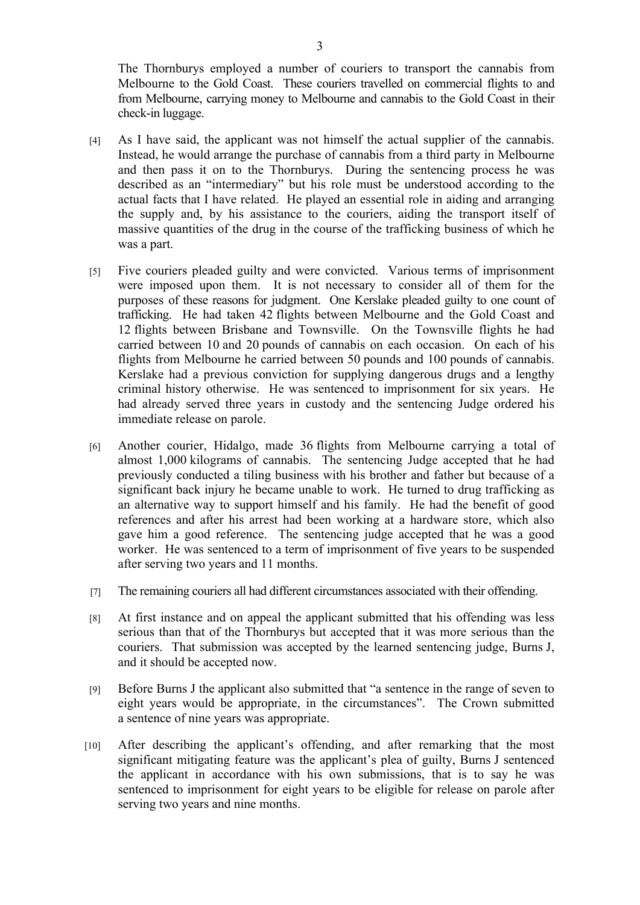The Thornburys employed a number of couriers to transport the cannabis from Melbourne to the Gold Coast. These couriers travelled on commercial flights to and from Melbourne, carrying money to Melbourne and cannabis to the Gold Coast in their check-in luggage.

- [4] As I have said, the applicant was not himself the actual supplier of the cannabis. Instead, he would arrange the purchase of cannabis from a third party in Melbourne and then pass it on to the Thornburys. During the sentencing process he was described as an "intermediary" but his role must be understood according to the actual facts that I have related. He played an essential role in aiding and arranging the supply and, by his assistance to the couriers, aiding the transport itself of massive quantities of the drug in the course of the trafficking business of which he was a part.
- [5] Five couriers pleaded guilty and were convicted. Various terms of imprisonment were imposed upon them. It is not necessary to consider all of them for the purposes of these reasons for judgment. One Kerslake pleaded guilty to one count of trafficking. He had taken 42 flights between Melbourne and the Gold Coast and 12 flights between Brisbane and Townsville. On the Townsville flights he had carried between 10 and 20 pounds of cannabis on each occasion. On each of his flights from Melbourne he carried between 50 pounds and 100 pounds of cannabis. Kerslake had a previous conviction for supplying dangerous drugs and a lengthy criminal history otherwise. He was sentenced to imprisonment for six years. He had already served three years in custody and the sentencing Judge ordered his immediate release on parole.
- [6] Another courier, Hidalgo, made 36 flights from Melbourne carrying a total of almost 1,000 kilograms of cannabis. The sentencing Judge accepted that he had previously conducted a tiling business with his brother and father but because of a significant back injury he became unable to work. He turned to drug trafficking as an alternative way to support himself and his family. He had the benefit of good references and after his arrest had been working at a hardware store, which also gave him a good reference. The sentencing judge accepted that he was a good worker. He was sentenced to a term of imprisonment of five years to be suspended after serving two years and 11 months.
- [7] The remaining couriers all had different circumstances associated with their offending.
- [8] At first instance and on appeal the applicant submitted that his offending was less serious than that of the Thornburys but accepted that it was more serious than the couriers. That submission was accepted by the learned sentencing judge, Burns J, and it should be accepted now.
- [9] Before Burns J the applicant also submitted that "a sentence in the range of seven to eight years would be appropriate, in the circumstances". The Crown submitted a sentence of nine years was appropriate.
- [10] After describing the applicant's offending, and after remarking that the most significant mitigating feature was the applicant's plea of guilty, Burns J sentenced the applicant in accordance with his own submissions, that is to say he was sentenced to imprisonment for eight years to be eligible for release on parole after serving two years and nine months.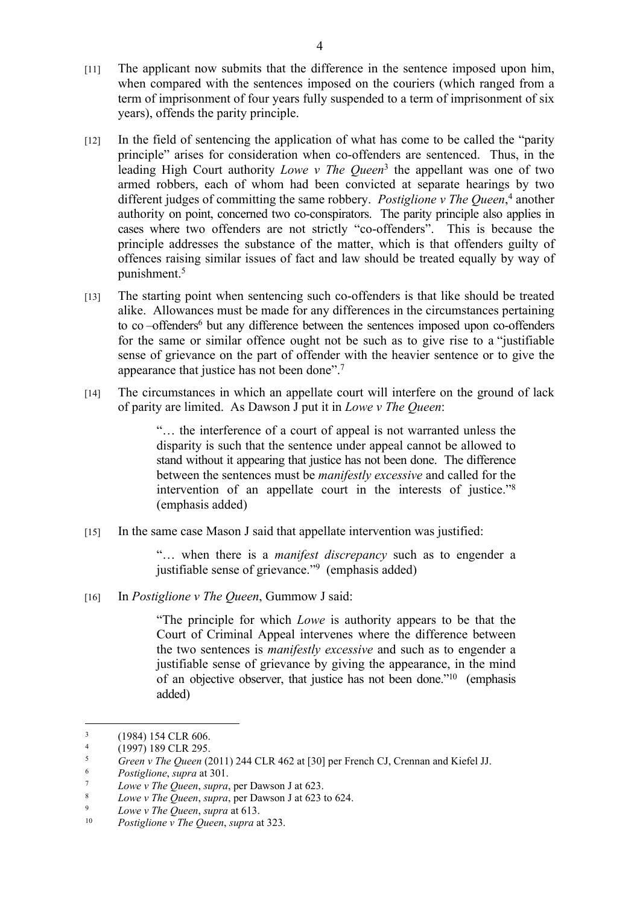- [11] The applicant now submits that the difference in the sentence imposed upon him, when compared with the sentences imposed on the couriers (which ranged from a term of imprisonment of four years fully suspended to a term of imprisonment of six years), offends the parity principle.
- [12] In the field of sentencing the application of what has come to be called the "parity principle" arises for consideration when co-offenders are sentenced. Thus, in the leading High Court authority *Lowe v The Queen*<sup>3</sup> the appellant was one of two armed robbers, each of whom had been convicted at separate hearings by two different judges of committing the same robbery. *Postiglione v The Queen*, 4 another authority on point, concerned two co-conspirators. The parity principle also applies in cases where two offenders are not strictly "co-offenders". This is because the principle addresses the substance of the matter, which is that offenders guilty of offences raising similar issues of fact and law should be treated equally by way of punishment.<sup>5</sup>
- [13] The starting point when sentencing such co-offenders is that like should be treated alike. Allowances must be made for any differences in the circumstances pertaining to co-offenders<sup>6</sup> but any difference between the sentences imposed upon co-offenders for the same or similar offence ought not be such as to give rise to a "justifiable sense of grievance on the part of offender with the heavier sentence or to give the appearance that justice has not been done".<sup>7</sup>
- [14] The circumstances in which an appellate court will interfere on the ground of lack of parity are limited. As Dawson J put it in *Lowe v The Queen*:

"… the interference of a court of appeal is not warranted unless the disparity is such that the sentence under appeal cannot be allowed to stand without it appearing that justice has not been done. The difference between the sentences must be *manifestly excessive* and called for the intervention of an appellate court in the interests of justice."<sup>8</sup> (emphasis added)

[15] In the same case Mason J said that appellate intervention was justified:

"… when there is a *manifest discrepancy* such as to engender a justifiable sense of grievance."<sup>9</sup> (emphasis added)

[16] In *Postiglione v The Queen*, Gummow J said:

"The principle for which *Lowe* is authority appears to be that the Court of Criminal Appeal intervenes where the difference between the two sentences is *manifestly excessive* and such as to engender a justifiable sense of grievance by giving the appearance, in the mind of an objective observer, that justice has not been done."<sup>10</sup> (emphasis added)

<sup>3</sup> (1984) 154 CLR 606.

<sup>4</sup> <sup>4</sup> (1997) 189 CLR 295.<br><sup>5</sup> Green v The Queen (2)

<sup>5</sup> *Green v The Queen* (2011) 244 CLR 462 at [30] per French CJ, Crennan and Kiefel JJ.

<sup>6</sup> *Postiglione*, *supra* at 301.

<sup>7</sup> *Lowe v The Queen*, *supra*, per Dawson J at 623.

<sup>&</sup>lt;sup>8</sup> *Lowe v The Queen, supra, per Dawson J at 623 to 624.*<br> $I_{\text{QW2}}$  *Lowe v The Queen, supra* at 613

<sup>9</sup> *Lowe v The Queen*, *supra* at 613.

<sup>10</sup> *Postiglione v The Queen*, *supra* at 323.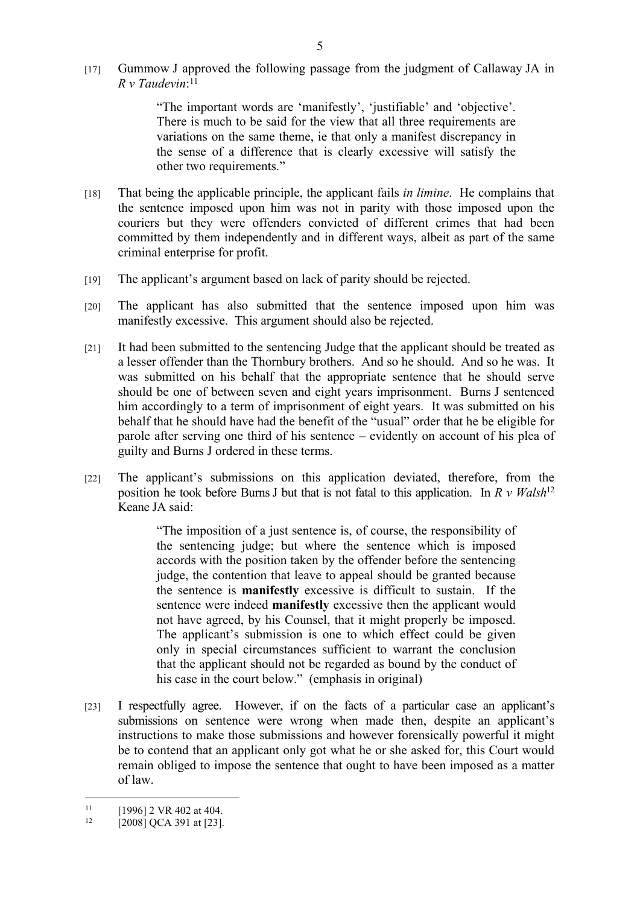[17] Gummow J approved the following passage from the judgment of Callaway JA in *R v Taudevin*: 11

> "The important words are 'manifestly', 'justifiable' and 'objective'. There is much to be said for the view that all three requirements are variations on the same theme, ie that only a manifest discrepancy in the sense of a difference that is clearly excessive will satisfy the other two requirements."

- [18] That being the applicable principle, the applicant fails *in limine*. He complains that the sentence imposed upon him was not in parity with those imposed upon the couriers but they were offenders convicted of different crimes that had been committed by them independently and in different ways, albeit as part of the same criminal enterprise for profit.
- [19] The applicant's argument based on lack of parity should be rejected.
- [20] The applicant has also submitted that the sentence imposed upon him was manifestly excessive. This argument should also be rejected.
- [21] It had been submitted to the sentencing Judge that the applicant should be treated as a lesser offender than the Thornbury brothers. And so he should. And so he was. It was submitted on his behalf that the appropriate sentence that he should serve should be one of between seven and eight years imprisonment. Burns J sentenced him accordingly to a term of imprisonment of eight years. It was submitted on his behalf that he should have had the benefit of the "usual" order that he be eligible for parole after serving one third of his sentence – evidently on account of his plea of guilty and Burns J ordered in these terms.
- [22] The applicant's submissions on this application deviated, therefore, from the position he took before Burns J but that is not fatal to this application. In *R v Walsh*<sup>12</sup> Keane JA said:

"The imposition of a just sentence is, of course, the responsibility of the sentencing judge; but where the sentence which is imposed accords with the position taken by the offender before the sentencing judge, the contention that leave to appeal should be granted because the sentence is **manifestly** excessive is difficult to sustain. If the sentence were indeed **manifestly** excessive then the applicant would not have agreed, by his Counsel, that it might properly be imposed. The applicant's submission is one to which effect could be given only in special circumstances sufficient to warrant the conclusion that the applicant should not be regarded as bound by the conduct of his case in the court below." (emphasis in original)

[23] I respectfully agree. However, if on the facts of a particular case an applicant's submissions on sentence were wrong when made then, despite an applicant's instructions to make those submissions and however forensically powerful it might be to contend that an applicant only got what he or she asked for, this Court would remain obliged to impose the sentence that ought to have been imposed as a matter of law.

 $11$  [1996] 2 VR 402 at 404.

<sup>[2008]</sup> QCA 391 at [23].